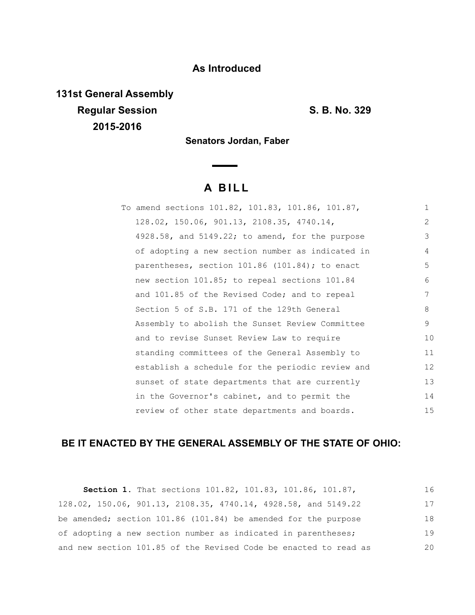## **As Introduced**

**131st General Assembly Regular Session S. B. No. 329 2015-2016**

**Senators Jordan, Faber**

# **A B I L L**

| To amend sections 101.82, 101.83, 101.86, 101.87, | $\mathbf{1}$    |
|---------------------------------------------------|-----------------|
| 128.02, 150.06, 901.13, 2108.35, 4740.14,         | $\mathcal{L}$   |
| 4928.58, and 5149.22; to amend, for the purpose   | 3               |
| of adopting a new section number as indicated in  | 4               |
| parentheses, section 101.86 (101.84); to enact    | 5               |
| new section 101.85; to repeal sections 101.84     | 6               |
| and 101.85 of the Revised Code; and to repeal     | 7               |
| Section 5 of S.B. 171 of the 129th General        | 8               |
| Assembly to abolish the Sunset Review Committee   | 9               |
| and to revise Sunset Review Law to require        | 10              |
| standing committees of the General Assembly to    | 11              |
| establish a schedule for the periodic review and  | 12 <sup>°</sup> |
| sunset of state departments that are currently    | 13              |
| in the Governor's cabinet, and to permit the      | 14              |
| review of other state departments and boards.     | 15              |

# **BE IT ENACTED BY THE GENERAL ASSEMBLY OF THE STATE OF OHIO:**

| Section 1. That sections 101.82, 101.83, 101.86, 101.87,         | 16 |
|------------------------------------------------------------------|----|
| 128.02, 150.06, 901.13, 2108.35, 4740.14, 4928.58, and 5149.22   | 17 |
| be amended; section 101.86 (101.84) be amended for the purpose   | 18 |
| of adopting a new section number as indicated in parentheses;    | 19 |
| and new section 101.85 of the Revised Code be enacted to read as | 20 |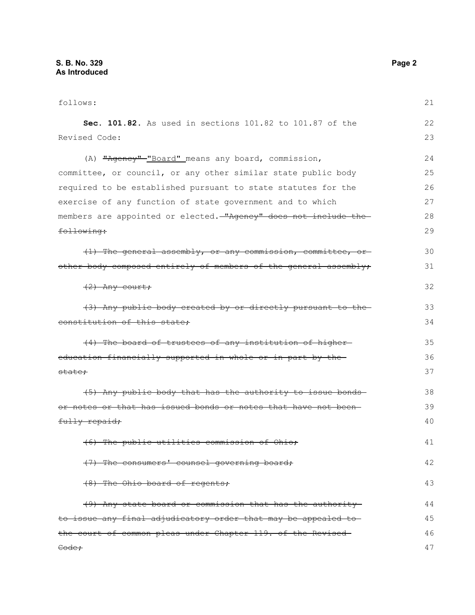| follows:                                                         | 21 |
|------------------------------------------------------------------|----|
| Sec. 101.82. As used in sections 101.82 to 101.87 of the         | 22 |
| Revised Code:                                                    | 23 |
| (A) "Agency" "Board" means any board, commission,                | 24 |
| committee, or council, or any other similar state public body    | 25 |
| required to be established pursuant to state statutes for the    | 26 |
| exercise of any function of state government and to which        | 27 |
| members are appointed or elected. "Agency" does not include the  | 28 |
| following:                                                       | 29 |
| (1) The general assembly, or any commission, committee, or       | 30 |
| other body composed entirely of members of the general assembly, | 31 |
| $(2)$ Any court;                                                 | 32 |
| (3) Any public body created by or directly pursuant to the       | 33 |
| constitution of this state:                                      | 34 |
| (4) The board of trustees of any institution of higher-          | 35 |
| education financially supported in whole or in part by the       | 36 |
| <del>state;</del>                                                | 37 |
| (5) Any public body that has the authority to issue bonds        | 38 |
| or notes or that has issued bonds or notes that have not been-   | 39 |
| fully repaid;                                                    | 40 |
| (6) The public utilities commission of Ohio;                     | 41 |
| (7) The consumers' counsel governing board;                      | 42 |
| (8) The Ohio board of regents;                                   | 43 |
| (9) Any state board or commission that has the authority         | 44 |
| to issue any final adjudicatory order that may be appealed to    | 45 |
| the court of common pleas under Chapter 119. of the Revised-     | 46 |
| <del>Code;</del>                                                 | 47 |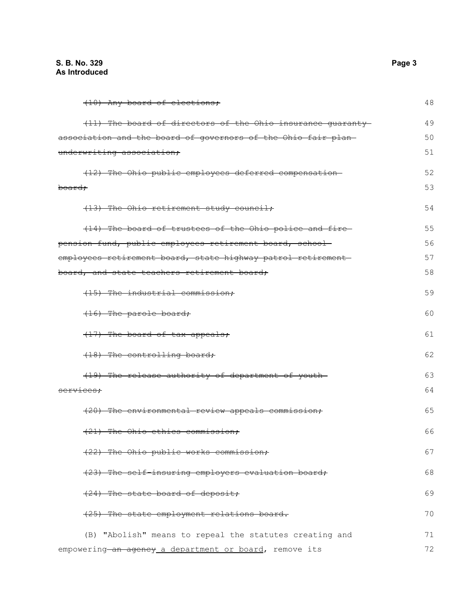| (10) Any board of elections;                                  | 48 |
|---------------------------------------------------------------|----|
| (11) The board of directors of the Ohio insurance quaranty    | 49 |
| association and the board of governors of the Ohio fair plan- | 50 |
| underwriting association;                                     | 51 |
| (12) The Ohio public employees deferred compensation-         | 52 |
| <del>board:</del>                                             | 53 |
| (13) The Ohio retirement study council;                       | 54 |
| (14) The board of trustees of the Ohio police and fire        | 55 |
| pension fund, public employees retirement board, school       | 56 |
| employees retirement board, state highway patrol retirement-  | 57 |
| board, and state teachers retirement board;                   | 58 |
| (15) The industrial commission;                               | 59 |
| (16) The parole board;                                        | 60 |
| (17) The board of tax appeals;                                | 61 |
| (18) The controlling board;                                   | 62 |
| (19) The release authority of department of youth-            | 63 |
| services:                                                     | 64 |
| (20) The environmental review appeals commission;             | 65 |
| (21) The Ohio ethics commission;                              | 66 |
| (22) The Ohio public works commission;                        | 67 |
| (23) The self-insuring employers evaluation board;            | 68 |
| (24) The state board of deposit;                              | 69 |
| (25) The state employment relations board.                    | 70 |
| (B) "Abolish" means to repeal the statutes creating and       | 71 |
| empowering-an agency a department or board, remove its        | 72 |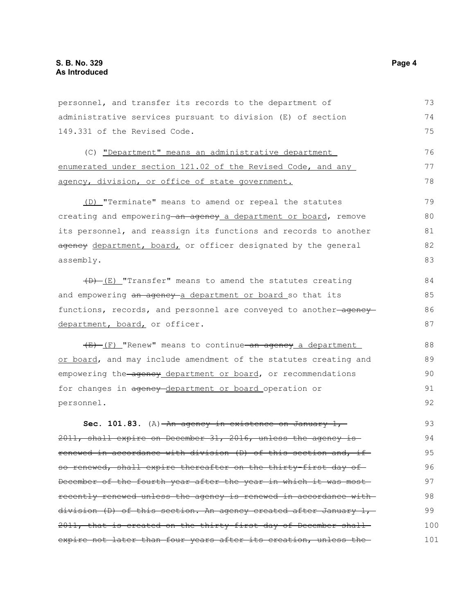personnel, and transfer its records to the department of administrative services pursuant to division (E) of section 149.331 of the Revised Code. (C) "Department" means an administrative department enumerated under section 121.02 of the Revised Code, and any agency, division, or office of state government. (D) "Terminate" means to amend or repeal the statutes creating and empowering an agency a department or board, remove its personnel, and reassign its functions and records to another ageney department, board, or officer designated by the general assembly.  $(D)$  (E) "Transfer" means to amend the statutes creating and empowering an agency a department or board so that its functions, records, and personnel are conveyed to another-agencydepartment, board, or officer.  $(E)$  (F) "Renew" means to continue an agency a department or board, and may include amendment of the statutes creating and empowering the agency department or board, or recommendations for changes in agency-department or board operation or personnel. **Sec. 101.83.** (A)  $-An$  agency in existence on January 1, 2011, shall expire on December 31, 2016, unless the agency is renewed in accordance with division (D) of this section and, if so renewed, shall expire thereafter on the thirty-first day of-December of the fourth year after the year in which it was most recently renewed unless the agency is renewed in accordance with division (D) of this section. An agency created after January 1, 2011, that is created on the thirty-first day of December shall 73 74 75 76 77 78 79 80 81 82 83 84 85 86 87 88 89  $90$ 91 92 93 94 95 96 97 98 99 100

expire not later than four years after its creation, unless the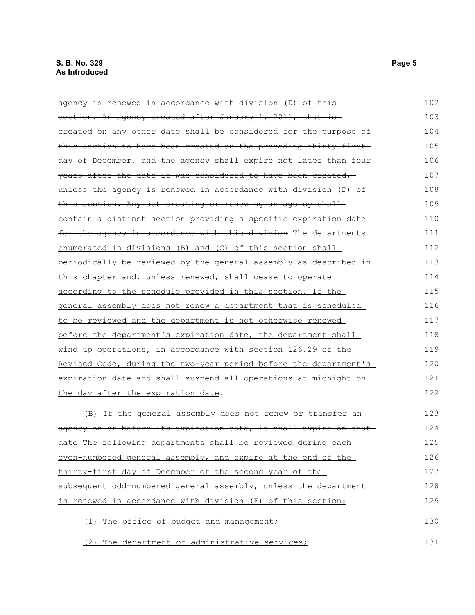| agency is renewed in accordance with division (D) of this-        | 102 |
|-------------------------------------------------------------------|-----|
| section. An agency created after January 1, 2011, that is         | 103 |
| ereated on any other date shall be considered for the purpose of  | 104 |
| this section to have been created on the preceding thirty-first-  | 105 |
| day of December, and the agency shall expire not later than four- | 106 |
| years after the date it was considered to have been created,      | 107 |
| unless the agency is renewed in accordance with division (D) of   | 108 |
| this section. Any act creating or renewing an agency shall-       | 109 |
| contain a distinct section providing a specific expiration date   | 110 |
| for the agency in accordance with this division The departments   | 111 |
| enumerated in divisions (B) and (C) of this section shall         | 112 |
| periodically be reviewed by the general assembly as described in  | 113 |
| this chapter and, unless renewed, shall cease to operate          | 114 |
| according to the schedule provided in this section. If the        | 115 |
| general assembly does not renew a department that is scheduled    | 116 |
| to be reviewed and the department is not otherwise renewed        | 117 |
| before the department's expiration date, the department shall     | 118 |
| wind up operations, in accordance with section 126.29 of the      | 119 |
| Revised Code, during the two-year period before the department's  | 120 |
| expiration date and shall suspend all operations at midnight on   | 121 |
| the day after the expiration date.                                | 122 |
| (B)-If the general assembly does not renew or transfer an-        | 123 |
| agency on or before its expiration date, it shall expire on that  | 124 |
| date The following departments shall be reviewed during each      | 125 |
| even-numbered general assembly, and expire at the end of the      | 126 |
| thirty-first day of December of the second year of the            | 127 |
| subsequent odd-numbered general assembly, unless the department   | 128 |
| is renewed in accordance with division (F) of this section:       | 129 |
| The office of budget and management;<br>(1)                       | 130 |

(2) The department of administrative services;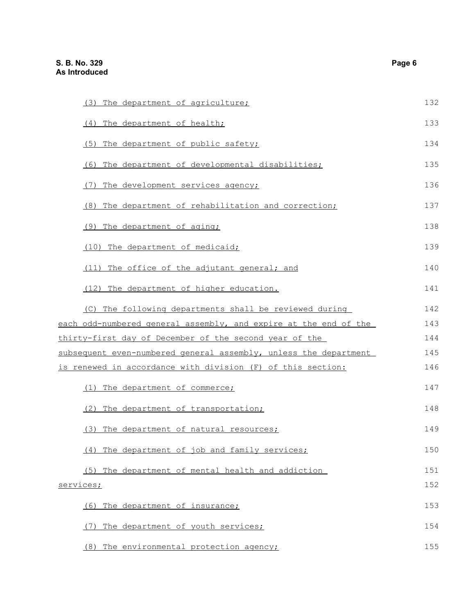| (3) The department of agriculture;                                                                                                       | 132 |
|------------------------------------------------------------------------------------------------------------------------------------------|-----|
| (4) The department of health;                                                                                                            | 133 |
| (5) The department of public safety;                                                                                                     | 134 |
| (6) The department of developmental disabilities;                                                                                        | 135 |
| (7) The development services agency;                                                                                                     | 136 |
| (8) The department of rehabilitation and correction;                                                                                     | 137 |
| (9) The department of aging;                                                                                                             | 138 |
| (10) The department of medicaid;                                                                                                         | 139 |
| (11) The office of the adjutant general; and                                                                                             | 140 |
| (12) The department of higher education.                                                                                                 | 141 |
| (C) The following departments shall be reviewed during                                                                                   | 142 |
| each odd-numbered general assembly, and expire at the end of the                                                                         | 143 |
| thirty-first day of December of the second year of the                                                                                   | 144 |
| subsequent even-numbered general assembly, unless the department                                                                         | 145 |
| is renewed in accordance with division (F) of this section:                                                                              | 146 |
| (1) The department of commerce;                                                                                                          | 147 |
| (2) The department of transportation;                                                                                                    | 148 |
| (3) The department of natural resources;                                                                                                 | 149 |
| (4)<br>The department of job and family services;                                                                                        | 150 |
| (5) The department of mental health and addiction                                                                                        | 151 |
| services;<br>The department of insurance;<br>(6)<br>The department of youth services;<br>(7)<br>(8) The environmental protection agency; | 152 |
|                                                                                                                                          | 153 |
|                                                                                                                                          | 154 |
|                                                                                                                                          | 155 |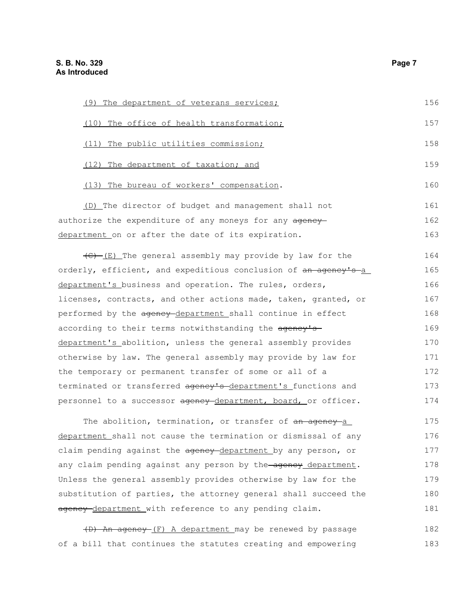| (9) The department of veterans services; | 156 |
|------------------------------------------|-----|
| The office of health transformation;     | 157 |
| The public utilities commission;         | 158 |
| The department of taxation; and<br>(12)  | 159 |
| The bureau of workers' compensation.     | 160 |

(D) The director of budget and management shall not authorize the expenditure of any moneys for any ageneydepartment on or after the date of its expiration. 161 162 163

 $\overline{(E)}$  (E) The general assembly may provide by law for the orderly, efficient, and expeditious conclusion of an agency's a department's business and operation. The rules, orders, licenses, contracts, and other actions made, taken, granted, or performed by the agency-department shall continue in effect according to their terms notwithstanding the agency'sdepartment's abolition, unless the general assembly provides otherwise by law. The general assembly may provide by law for the temporary or permanent transfer of some or all of a terminated or transferred agency's department's functions and personnel to a successor agency department, board, or officer. 164 165 166 167 168 169 170 171 172 173 174

The abolition, termination, or transfer of an agency a department shall not cause the termination or dismissal of any claim pending against the ageney-department by any person, or any claim pending against any person by the agency department. Unless the general assembly provides otherwise by law for the substitution of parties, the attorney general shall succeed the agency-department with reference to any pending claim. 175 176 177 178 179 180 181

(D) An agency (F) A department may be renewed by passage of a bill that continues the statutes creating and empowering 182 183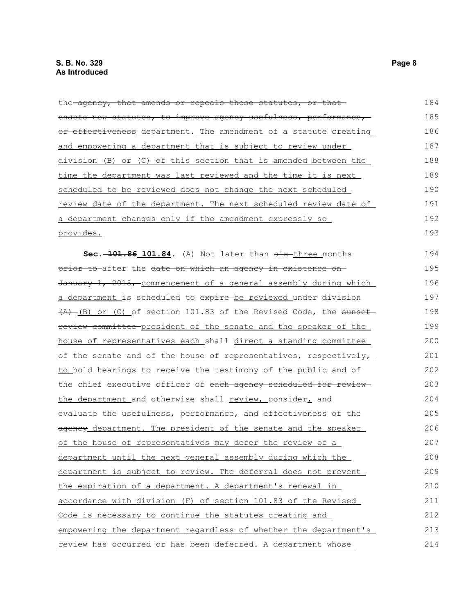the agency, that amends or repeals those statutes, or that enacts new statutes, to improve agency usefulness, performance, or effectiveness department. The amendment of a statute creating and empowering a department that is subject to review under division (B) or (C) of this section that is amended between the time the department was last reviewed and the time it is next scheduled to be reviewed does not change the next scheduled review date of the department. The next scheduled review date of a department changes only if the amendment expressly so provides. **Sec.** 101.84. (A) Not later than  $\frac{1}{x}$  three months prior to after the date on which an agency in existence on-January 1, 2015, commencement of a general assembly during which a department is scheduled to expire be reviewed under division  $(A)$  (B) or (C) of section 101.83 of the Revised Code, the sunset review committee president of the senate and the speaker of the house of representatives each shall direct a standing committee of the senate and of the house of representatives, respectively, to hold hearings to receive the testimony of the public and of the chief executive officer of each agency scheduled for reviewthe department and otherwise shall review, consider, and evaluate the usefulness, performance, and effectiveness of the agency department. The president of the senate and the speaker 184 185 186 187 188 189 190 191 192 193 194 195 196 197 198 199 200 201 202 203 204 205 206

of the house of representatives may defer the review of a department until the next general assembly during which the department is subject to review. The deferral does not prevent the expiration of a department. A department's renewal in accordance with division (F) of section 101.83 of the Revised Code is necessary to continue the statutes creating and empowering the department regardless of whether the department's review has occurred or has been deferred. A department whose 207 208 209 210 211 212 213 214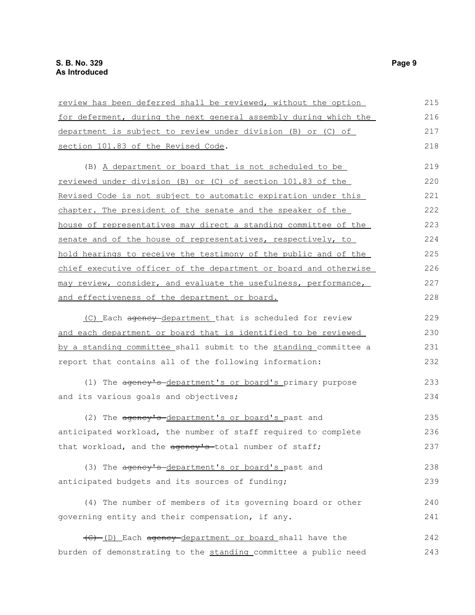| review has been deferred shall be reviewed, without the option   | 215 |
|------------------------------------------------------------------|-----|
| for deferment, during the next general assembly during which the | 216 |
| department is subject to review under division (B) or (C) of     | 217 |
| section 101.83 of the Revised Code.                              | 218 |
| (B) A department or board that is not scheduled to be            | 219 |
| reviewed under division (B) or (C) of section 101.83 of the      | 220 |
| Revised Code is not subject to automatic expiration under this   | 221 |
| chapter. The president of the senate and the speaker of the      | 222 |
| house of representatives may direct a standing committee of the  | 223 |
| senate and of the house of representatives, respectively, to     | 224 |
| hold hearings to receive the testimony of the public and of the  | 225 |
| chief executive officer of the department or board and otherwise | 226 |
| may review, consider, and evaluate the usefulness, performance,  | 227 |
| and effectiveness of the department or board.                    | 228 |
| (C) Each agency-department that is scheduled for review          | 229 |
| and each department or board that is identified to be reviewed   | 230 |
| by a standing committee shall submit to the standing committee a | 231 |
| report that contains all of the following information:           | 232 |
| (1) The agency's department's or board's primary purpose         | 233 |
| and its various goals and objectives;                            | 234 |
| (2) The agency's department's or board's past and                | 235 |
| anticipated workload, the number of staff required to complete   | 236 |
| that workload, and the agency's total number of staff;           | 237 |
| (3) The agency's-department's or board's past and                | 238 |
| anticipated budgets and its sources of funding;                  | 239 |
| (4) The number of members of its governing board or other        | 240 |
| governing entity and their compensation, if any.                 | 241 |
|                                                                  |     |
| (C) (D) Each agency department or board shall have the           | 242 |
| burden of demonstrating to the standing committee a public need  | 243 |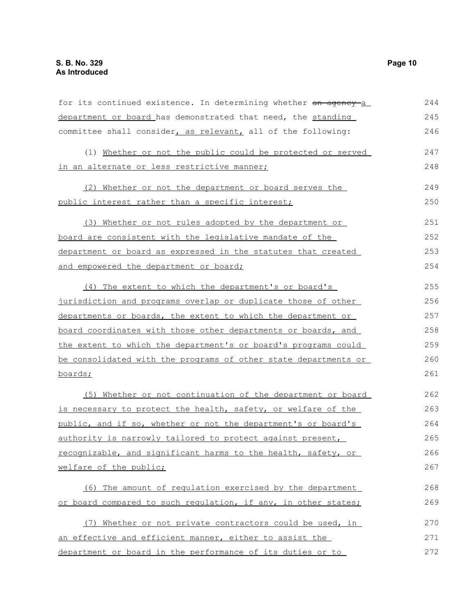| for its continued existence. In determining whether an agency a | 244 |
|-----------------------------------------------------------------|-----|
| department or board has demonstrated that need, the standing    | 245 |
| committee shall consider, as relevant, all of the following:    | 246 |
| (1) Whether or not the public could be protected or served      | 247 |
| in an alternate or less restrictive manner;                     | 248 |
| (2) Whether or not the department or board serves the           | 249 |
| public interest rather than a specific interest;                | 250 |
| (3) Whether or not rules adopted by the department or           | 251 |
| <u>board are consistent with the legislative mandate of the</u> | 252 |
| department or board as expressed in the statutes that created   | 253 |
| and empowered the department or board;                          | 254 |
| (4) The extent to which the department's or board's             | 255 |
| jurisdiction and programs overlap or duplicate those of other   | 256 |
| departments or boards, the extent to which the department or    | 257 |
| board coordinates with those other departments or boards, and   | 258 |
| the extent to which the department's or board's programs could  | 259 |
| be consolidated with the programs of other state departments or | 260 |
| boards;                                                         | 261 |
| (5) Whether or not continuation of the department or board      | 262 |
| is necessary to protect the health, safety, or welfare of the   | 263 |
| public, and if so, whether or not the department's or board's   | 264 |
| authority is narrowly tailored to protect against present,      | 265 |
| recognizable, and significant harms to the health, safety, or   | 266 |
| welfare of the public;                                          | 267 |
| (6) The amount of regulation exercised by the department        | 268 |
| or board compared to such requiation, if any, in other states;  | 269 |
| (7) Whether or not private contractors could be used, in        | 270 |
| an effective and efficient manner, either to assist the         | 271 |
| department or board in the performance of its duties or to      | 272 |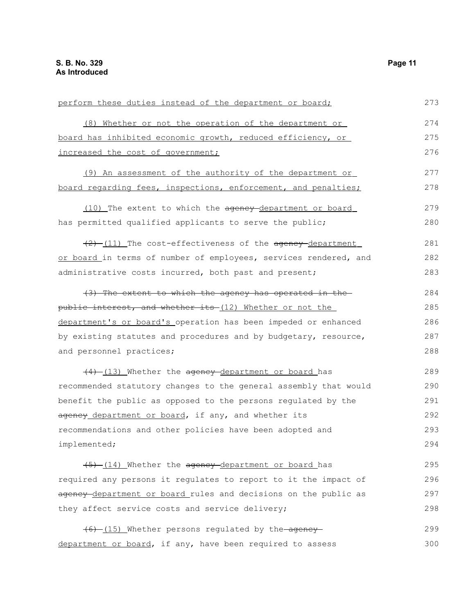| perform these duties instead of the department or board;         | 273 |
|------------------------------------------------------------------|-----|
| (8) Whether or not the operation of the department or            | 274 |
| board has inhibited economic growth, reduced efficiency, or      | 275 |
| increased the cost of government;                                | 276 |
| (9) An assessment of the authority of the department or          | 277 |
| board regarding fees, inspections, enforcement, and penalties;   | 278 |
| (10) The extent to which the agency-department or board          | 279 |
| has permitted qualified applicants to serve the public;          | 280 |
| (2) (11) The cost-effectiveness of the agency department         | 281 |
| or board in terms of number of employees, services rendered, and | 282 |
| administrative costs incurred, both past and present;            | 283 |
| (3) The extent to which the agency has operated in the           | 284 |
| public interest, and whether its (12) Whether or not the         | 285 |
| department's or board's operation has been impeded or enhanced   | 286 |
| by existing statutes and procedures and by budgetary, resource,  | 287 |
| and personnel practices;                                         | 288 |
| (4) (13) Whether the agency department or board has              | 289 |
| recommended statutory changes to the general assembly that would | 290 |
| benefit the public as opposed to the persons regulated by the    | 291 |
| agency department or board, if any, and whether its              | 292 |
| recommendations and other policies have been adopted and         | 293 |
| implemented;                                                     | 294 |
| (5) (14) Whether the agency department or board has              | 295 |
| required any persons it requlates to report to it the impact of  | 296 |
| agency-department or board rules and decisions on the public as  | 297 |
| they affect service costs and service delivery;                  | 298 |
| (6) (15) Whether persons regulated by the agency                 | 299 |
| department or board, if any, have been required to assess        | 300 |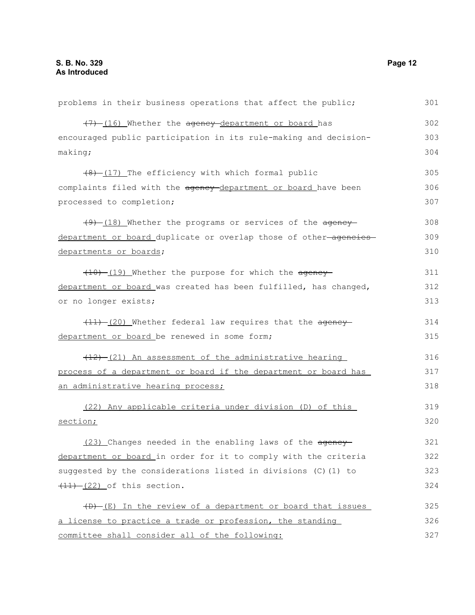| problems in their business operations that affect the public;     | 301 |
|-------------------------------------------------------------------|-----|
| (7) (16) Whether the agency department or board has               | 302 |
| encouraged public participation in its rule-making and decision-  | 303 |
| making;                                                           | 304 |
| $(8)$ $(17)$ The efficiency with which formal public              | 305 |
| complaints filed with the agency-department or board have been    | 306 |
| processed to completion;                                          | 307 |
| (9) (18) Whether the programs or services of the agency           | 308 |
| department or board duplicate or overlap those of other-agencies- | 309 |
| departments or boards;                                            | 310 |
| (10) (19) Whether the purpose for which the agency                | 311 |
| department or board was created has been fulfilled, has changed,  | 312 |
| or no longer exists;                                              | 313 |
| $(11)$ (20) Whether federal law requires that the agency          | 314 |
| department or board be renewed in some form;                      | 315 |
| (12) -(21) An assessment of the administrative hearing            | 316 |
| process of a department or board if the department or board has   | 317 |
| an administrative hearing process;                                | 318 |
| (22) Any applicable criteria under division (D) of this           | 319 |
| section;                                                          | 320 |
| (23) Changes needed in the enabling laws of the ageney            | 321 |
| department or board in order for it to comply with the criteria   | 322 |
| suggested by the considerations listed in divisions (C) (1) to    | 323 |
| $(11) - (22)$ of this section.                                    | 324 |
| (D) (E) In the review of a department or board that issues        | 325 |
| a license to practice a trade or profession, the standing         | 326 |
| committee shall consider all of the following:                    | 327 |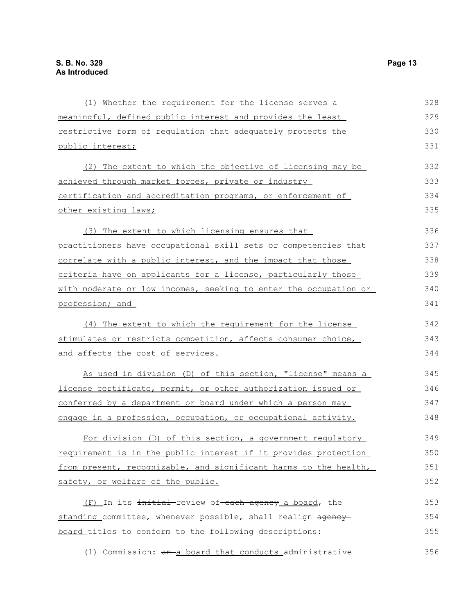| (1) Whether the requirement for the license serves a             | 328 |
|------------------------------------------------------------------|-----|
| meaningful, defined public interest and provides the least       | 329 |
| restrictive form of regulation that adequately protects the      | 330 |
| public interest;                                                 | 331 |
| (2) The extent to which the objective of licensing may be        | 332 |
| achieved through market forces, private or industry              | 333 |
| certification and accreditation programs, or enforcement of      | 334 |
| other existing laws;                                             | 335 |
| (3) The extent to which licensing ensures that                   | 336 |
| practitioners have occupational skill sets or competencies that  | 337 |
| correlate with a public interest, and the impact that those      | 338 |
| criteria have on applicants for a license, particularly those    | 339 |
| with moderate or low incomes, seeking to enter the occupation or | 340 |
| profession; and                                                  | 341 |
| (4) The extent to which the requirement for the license          | 342 |
| stimulates or restricts competition, affects consumer choice,    | 343 |
| and affects the cost of services.                                | 344 |
| As used in division (D) of this section, "license" means a       | 345 |
| license certificate, permit, or other authorization issued or    | 346 |
| conferred by a department or board under which a person may      | 347 |
| engage in a profession, occupation, or occupational activity.    | 348 |
| For division (D) of this section, a government regulatory        | 349 |
| requirement is in the public interest if it provides protection  | 350 |
| from present, recognizable, and significant harms to the health, | 351 |
| safety, or welfare of the public.                                | 352 |
| (F) In its initial review of each agency a board, the            | 353 |
| standing committee, whenever possible, shall realign agency      | 354 |
| board titles to conform to the following descriptions:           | 355 |
| (1) Commission: an a board that conducts administrative          | 356 |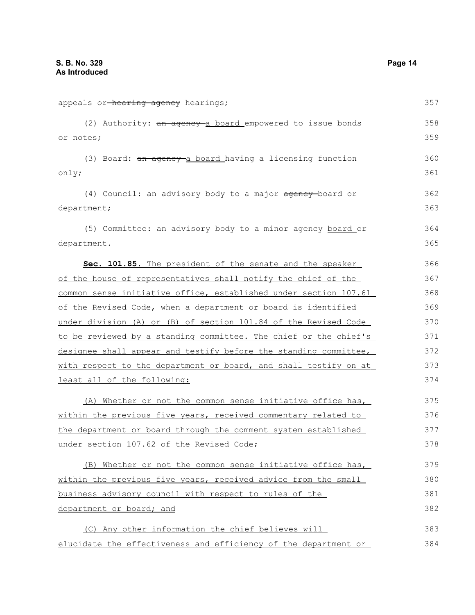| appeals or-hearing agency hearings;                              | 357 |
|------------------------------------------------------------------|-----|
| (2) Authority: an agency a board empowered to issue bonds        | 358 |
| or notes;                                                        | 359 |
| (3) Board: an ageney a board having a licensing function         | 360 |
| only;                                                            | 361 |
| (4) Council: an advisory body to a major agency-board or         | 362 |
| department;                                                      | 363 |
| (5) Committee: an advisory body to a minor agency-board or       | 364 |
| department.                                                      | 365 |
| Sec. 101.85. The president of the senate and the speaker         | 366 |
| of the house of representatives shall notify the chief of the    | 367 |
| common sense initiative office, established under section 107.61 | 368 |
| of the Revised Code, when a department or board is identified    | 369 |
| under division (A) or (B) of section 101.84 of the Revised Code  | 370 |
| to be reviewed by a standing committee. The chief or the chief's | 371 |
| designee shall appear and testify before the standing committee, | 372 |
| with respect to the department or board, and shall testify on at | 373 |
| least all of the following:                                      | 374 |
| (A) Whether or not the common sense initiative office has,       | 375 |
| within the previous five years, received commentary related to   | 376 |
| the department or board through the comment system established   | 377 |
| under section 107.62 of the Revised Code;                        | 378 |
| (B) Whether or not the common sense initiative office has,       | 379 |
| within the previous five years, received advice from the small   | 380 |
| business advisory council with respect to rules of the           | 381 |
| department or board; and                                         | 382 |
| (C) Any other information the chief believes will                | 383 |
| elucidate the effectiveness and efficiency of the department or  | 384 |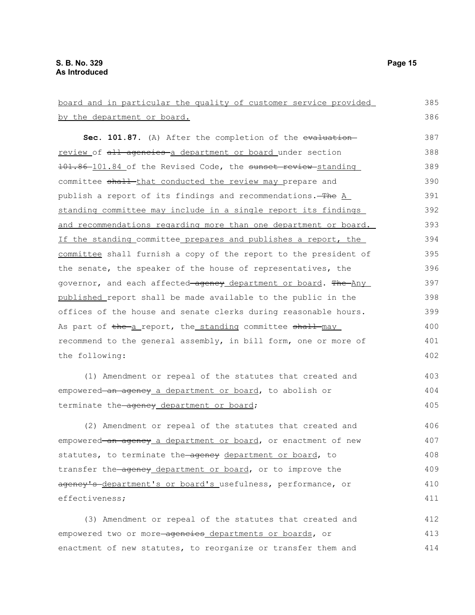board and in particular the quality of customer service provided by the department or board. Sec. 101.87. (A) After the completion of the evaluationreview of all agencies a department or board under section 101.86-101.84 of the Revised Code, the sunset review-standing committee shall-that conducted the review may prepare and publish a report of its findings and recommendations. The A standing committee may include in a single report its findings and recommendations regarding more than one department or board. If the standing committee prepares and publishes a report, the committee shall furnish a copy of the report to the president of the senate, the speaker of the house of representatives, the governor, and each affected agency department or board. The Any published report shall be made available to the public in the offices of the house and senate clerks during reasonable hours. As part of the a report, the standing committee shall may recommend to the general assembly, in bill form, one or more of the following: (1) Amendment or repeal of the statutes that created and empowered an agency a department or board, to abolish or terminate the-agency department or board; (2) Amendment or repeal of the statutes that created and empowered an agency a department or board, or enactment of new statutes, to terminate the ageney department or board, to transfer the agency department or board, or to improve the agency's department's or board's usefulness, performance, or effectiveness; (3) Amendment or repeal of the statutes that created and empowered two or more-agencies departments or boards, or enactment of new statutes, to reorganize or transfer them and 385 386 387 388 389 390 391 392 393 394 395 396 397 398 399 400 401 402 403 404 405 406 407 408 409 410 411 412 413 414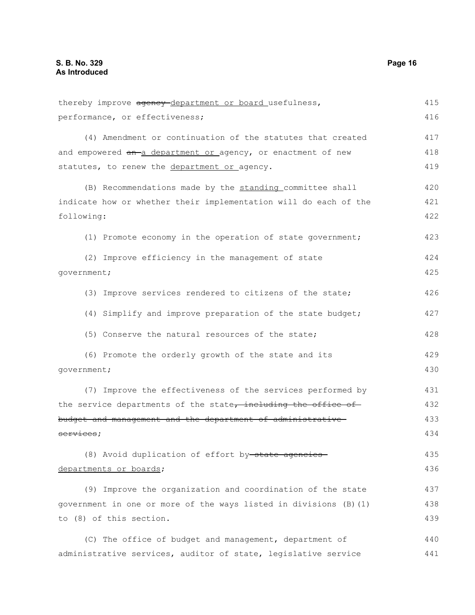thereby improve agency-department or board usefulness, performance, or effectiveness; (4) Amendment or continuation of the statutes that created and empowered an-a department or agency, or enactment of new statutes, to renew the department or agency. (B) Recommendations made by the standing committee shall indicate how or whether their implementation will do each of the following: (1) Promote economy in the operation of state government; (2) Improve efficiency in the management of state government; (3) Improve services rendered to citizens of the state; (4) Simplify and improve preparation of the state budget; (5) Conserve the natural resources of the state; (6) Promote the orderly growth of the state and its government; (7) Improve the effectiveness of the services performed by the service departments of the state, including the office of budget and management and the department of administrative services; (8) Avoid duplication of effort by state agencies departments or boards; (9) Improve the organization and coordination of the state government in one or more of the ways listed in divisions (B)(1) to (8) of this section. 415 416 417 418 419 420 421 422 423 424 425 426 427 428 429 430 431 432 433 434 435 436 437 438 439

(C) The office of budget and management, department of administrative services, auditor of state, legislative service 440 441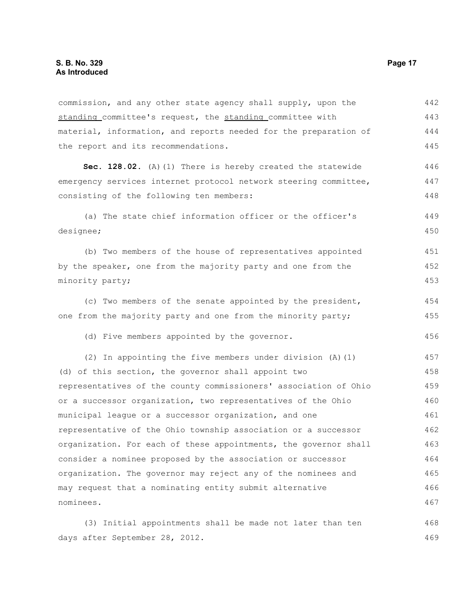commission, and any other state agency shall supply, upon the standing committee's request, the standing committee with material, information, and reports needed for the preparation of the report and its recommendations. 442 443 444 445

Sec. 128.02. (A)(1) There is hereby created the statewide emergency services internet protocol network steering committee, consisting of the following ten members: 446 447 448

(a) The state chief information officer or the officer's designee; 449 450

(b) Two members of the house of representatives appointed by the speaker, one from the majority party and one from the minority party; 451 452 453

(c) Two members of the senate appointed by the president, one from the majority party and one from the minority party; 454 455

(d) Five members appointed by the governor.

(2) In appointing the five members under division (A)(1) (d) of this section, the governor shall appoint two representatives of the county commissioners' association of Ohio or a successor organization, two representatives of the Ohio municipal league or a successor organization, and one representative of the Ohio township association or a successor organization. For each of these appointments, the governor shall consider a nominee proposed by the association or successor organization. The governor may reject any of the nominees and may request that a nominating entity submit alternative nominees. 457 458 459 460 461 462 463 464 465 466 467

(3) Initial appointments shall be made not later than ten days after September 28, 2012. 468 469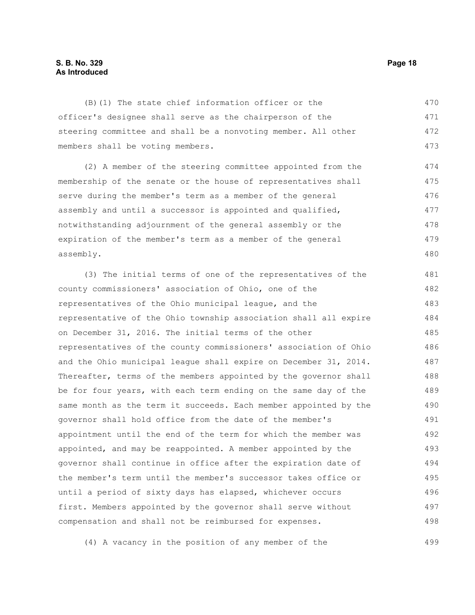#### **S. B. No. 329 Page 18 As Introduced**

(B)(1) The state chief information officer or the officer's designee shall serve as the chairperson of the steering committee and shall be a nonvoting member. All other members shall be voting members. 470 471 472 473

(2) A member of the steering committee appointed from the membership of the senate or the house of representatives shall serve during the member's term as a member of the general assembly and until a successor is appointed and qualified, notwithstanding adjournment of the general assembly or the expiration of the member's term as a member of the general assembly. 474 475 476 477 478 479 480

(3) The initial terms of one of the representatives of the county commissioners' association of Ohio, one of the representatives of the Ohio municipal league, and the representative of the Ohio township association shall all expire on December 31, 2016. The initial terms of the other representatives of the county commissioners' association of Ohio and the Ohio municipal league shall expire on December 31, 2014. Thereafter, terms of the members appointed by the governor shall be for four years, with each term ending on the same day of the same month as the term it succeeds. Each member appointed by the governor shall hold office from the date of the member's appointment until the end of the term for which the member was appointed, and may be reappointed. A member appointed by the governor shall continue in office after the expiration date of the member's term until the member's successor takes office or until a period of sixty days has elapsed, whichever occurs first. Members appointed by the governor shall serve without compensation and shall not be reimbursed for expenses. 481 482 483 484 485 486 487 488 489 490 491 492 493 494 495 496 497 498

(4) A vacancy in the position of any member of the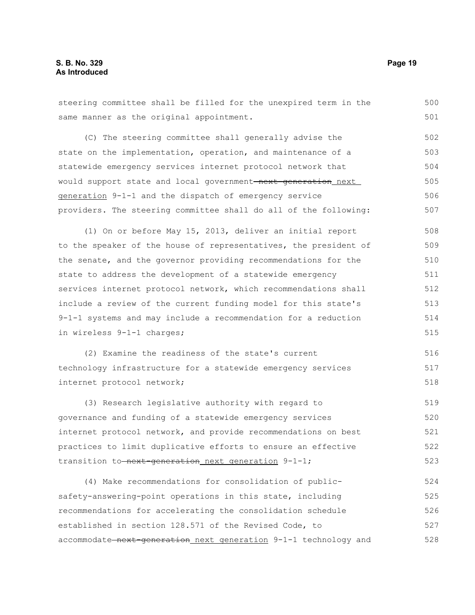steering committee shall be filled for the unexpired term in the same manner as the original appointment. (C) The steering committee shall generally advise the state on the implementation, operation, and maintenance of a statewide emergency services internet protocol network that would support state and local government<del>-next-generation</del> next generation 9-1-1 and the dispatch of emergency service providers. The steering committee shall do all of the following: (1) On or before May 15, 2013, deliver an initial report to the speaker of the house of representatives, the president of the senate, and the governor providing recommendations for the state to address the development of a statewide emergency services internet protocol network, which recommendations shall include a review of the current funding model for this state's 9-1-1 systems and may include a recommendation for a reduction in wireless 9-1-1 charges; (2) Examine the readiness of the state's current technology infrastructure for a statewide emergency services internet protocol network; (3) Research legislative authority with regard to governance and funding of a statewide emergency services internet protocol network, and provide recommendations on best practices to limit duplicative efforts to ensure an effective transition to-next-generation next generation 9-1-1; (4) Make recommendations for consolidation of publicsafety-answering-point operations in this state, including 500 501 502 503 504 505 506 507 508 509 510 511 512 513 514 515 516 517 518 519 520 521 522 523 524 525

established in section 128.571 of the Revised Code, to accommodate next-generation next generation 9-1-1 technology and 527 528

recommendations for accelerating the consolidation schedule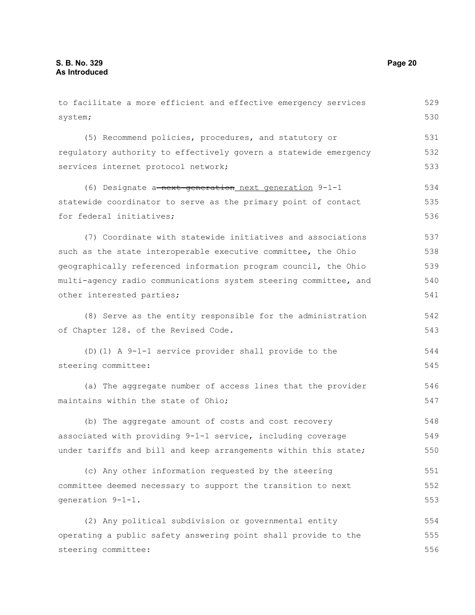system;

for federal initiatives;

to facilitate a more efficient and effective emergency services (5) Recommend policies, procedures, and statutory or regulatory authority to effectively govern a statewide emergency services internet protocol network; (6) Designate a next-generation next generation 9-1-1 statewide coordinator to serve as the primary point of contact (7) Coordinate with statewide initiatives and associations 529 530 531 532 533 534 535 536 537

such as the state interoperable executive committee, the Ohio geographically referenced information program council, the Ohio multi-agency radio communications system steering committee, and other interested parties; 538 539 540 541

(8) Serve as the entity responsible for the administration of Chapter 128. of the Revised Code. 542 543

(D)(1) A 9-1-1 service provider shall provide to the steering committee: 544 545

(a) The aggregate number of access lines that the provider maintains within the state of Ohio;

(b) The aggregate amount of costs and cost recovery associated with providing 9-1-1 service, including coverage under tariffs and bill and keep arrangements within this state; 548 549 550

(c) Any other information requested by the steering committee deemed necessary to support the transition to next generation 9-1-1. 551 552 553

(2) Any political subdivision or governmental entity operating a public safety answering point shall provide to the steering committee: 554 555 556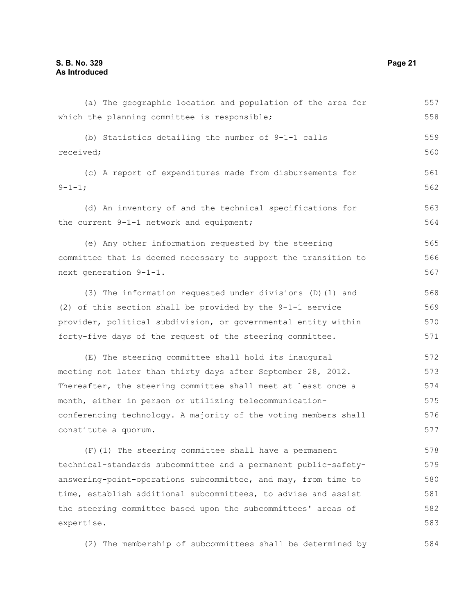| (a) The geographic location and population of the area for      | 557 |
|-----------------------------------------------------------------|-----|
| which the planning committee is responsible;                    | 558 |
| (b) Statistics detailing the number of 9-1-1 calls              | 559 |
| received;                                                       | 560 |
| (c) A report of expenditures made from disbursements for        | 561 |
| $9 - 1 - 1;$                                                    | 562 |
| (d) An inventory of and the technical specifications for        | 563 |
| the current 9-1-1 network and equipment;                        | 564 |
| (e) Any other information requested by the steering             | 565 |
| committee that is deemed necessary to support the transition to | 566 |
| next generation 9-1-1.                                          | 567 |
| (3) The information requested under divisions (D) (1) and       | 568 |
| (2) of this section shall be provided by the 9-1-1 service      | 569 |
| provider, political subdivision, or governmental entity within  | 570 |
| forty-five days of the request of the steering committee.       | 571 |
| (E) The steering committee shall hold its inaugural             | 572 |
| meeting not later than thirty days after September 28, 2012.    | 573 |
| Thereafter, the steering committee shall meet at least once a   | 574 |
| month, either in person or utilizing telecommunication-         | 575 |
| conferencing technology. A majority of the voting members shall | 576 |
| constitute a quorum.                                            | 577 |
| (F) (1) The steering committee shall have a permanent           | 578 |
| technical-standards subcommittee and a permanent public-safety- | 579 |
| answering-point-operations subcommittee, and may, from time to  | 580 |
| time, establish additional subcommittees, to advise and assist  | 581 |
| the steering committee based upon the subcommittees' areas of   | 582 |
| expertise.                                                      | 583 |
|                                                                 |     |

(2) The membership of subcommittees shall be determined by 584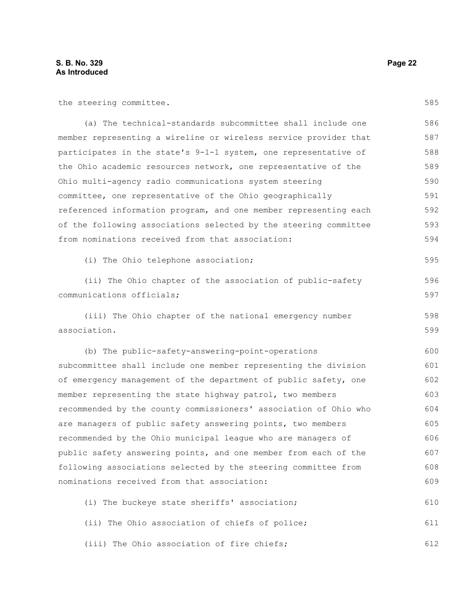the steering committee.

585

| (a) The technical-standards subcommittee shall include one       | 586 |
|------------------------------------------------------------------|-----|
| member representing a wireline or wireless service provider that | 587 |
| participates in the state's 9-1-1 system, one representative of  | 588 |
| the Ohio academic resources network, one representative of the   | 589 |
| Ohio multi-agency radio communications system steering           | 590 |
| committee, one representative of the Ohio geographically         | 591 |
| referenced information program, and one member representing each | 592 |
| of the following associations selected by the steering committee | 593 |
| from nominations received from that association:                 | 594 |
| (i) The Ohio telephone association;                              | 595 |

(i) The Ohio telephone association;

(ii) The Ohio chapter of the association of public-safety communications officials; 596 597

(iii) The Ohio chapter of the national emergency number association. 598 599

(b) The public-safety-answering-point-operations subcommittee shall include one member representing the division of emergency management of the department of public safety, one member representing the state highway patrol, two members recommended by the county commissioners' association of Ohio who are managers of public safety answering points, two members recommended by the Ohio municipal league who are managers of public safety answering points, and one member from each of the following associations selected by the steering committee from nominations received from that association: 600 601 602 603 604 605 606 607 608 609

(i) The buckeye state sheriffs' association; 610

(ii) The Ohio association of chiefs of police; 611

(iii) The Ohio association of fire chiefs; 612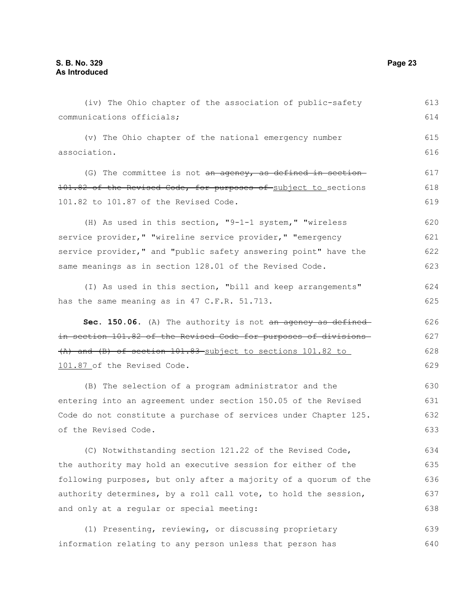(iv) The Ohio chapter of the association of public-safety communications officials; (v) The Ohio chapter of the national emergency number association. (G) The committee is not an agency, as defined in section-101.82 of the Revised Code, for purposes of subject to sections 101.82 to 101.87 of the Revised Code. (H) As used in this section, "9-1-1 system," "wireless service provider," "wireline service provider," "emergency service provider," and "public safety answering point" have the same meanings as in section 128.01 of the Revised Code. (I) As used in this section, "bill and keep arrangements" has the same meaning as in 47 C.F.R. 51.713. **Sec. 150.06.** (A) The authority is not an agency as defined in section 101.82 of the Revised Code for purposes of divisions (A) and (B) of section 101.83 subject to sections 101.82 to 101.87 of the Revised Code. (B) The selection of a program administrator and the entering into an agreement under section 150.05 of the Revised Code do not constitute a purchase of services under Chapter 125. of the Revised Code. (C) Notwithstanding section 121.22 of the Revised Code, the authority may hold an executive session for either of the following purposes, but only after a majority of a quorum of the authority determines, by a roll call vote, to hold the session, and only at a regular or special meeting: (1) Presenting, reviewing, or discussing proprietary information relating to any person unless that person has 613 614 615 616 617 618 619 620 621 622 623 624 625 626 627 628 629 630 631 632 633 634 635 636 637 638 639 640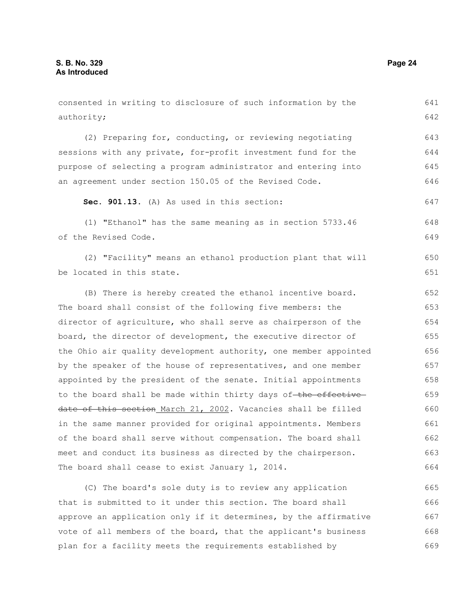| consented in writing to disclosure of such information by the    | 641 |
|------------------------------------------------------------------|-----|
| authority;                                                       | 642 |
|                                                                  |     |
| (2) Preparing for, conducting, or reviewing negotiating          | 643 |
| sessions with any private, for-profit investment fund for the    | 644 |
| purpose of selecting a program administrator and entering into   | 645 |
| an agreement under section 150.05 of the Revised Code.           | 646 |
| Sec. 901.13. (A) As used in this section:                        | 647 |
| (1) "Ethanol" has the same meaning as in section 5733.46         | 648 |
| of the Revised Code.                                             | 649 |
| (2) "Facility" means an ethanol production plant that will       | 650 |
| be located in this state.                                        | 651 |
| (B) There is hereby created the ethanol incentive board.         | 652 |
| The board shall consist of the following five members: the       | 653 |
| director of agriculture, who shall serve as chairperson of the   | 654 |
| board, the director of development, the executive director of    | 655 |
| the Ohio air quality development authority, one member appointed | 656 |
| by the speaker of the house of representatives, and one member   | 657 |
| appointed by the president of the senate. Initial appointments   | 658 |
| to the board shall be made within thirty days of-the effective-  | 659 |
| date of this section March 21, 2002. Vacancies shall be filled   | 660 |
| in the same manner provided for original appointments. Members   | 661 |
| of the board shall serve without compensation. The board shall   | 662 |
| meet and conduct its business as directed by the chairperson.    | 663 |
| The board shall cease to exist January 1, 2014.                  | 664 |
| (C) The board's sole duty is to review any application           | 665 |

that is submitted to it under this section. The board shall approve an application only if it determines, by the affirmative vote of all members of the board, that the applicant's business plan for a facility meets the requirements established by 666 667 668 669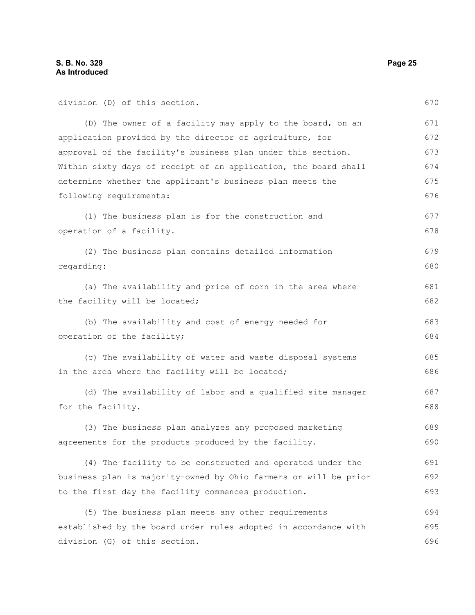| division (D) of this section.                                    | 670 |
|------------------------------------------------------------------|-----|
| (D) The owner of a facility may apply to the board, on an        | 671 |
| application provided by the director of agriculture, for         | 672 |
| approval of the facility's business plan under this section.     | 673 |
| Within sixty days of receipt of an application, the board shall  | 674 |
| determine whether the applicant's business plan meets the        | 675 |
| following requirements:                                          | 676 |
| (1) The business plan is for the construction and                | 677 |
| operation of a facility.                                         | 678 |
| (2) The business plan contains detailed information              | 679 |
| regarding:                                                       | 680 |
| (a) The availability and price of corn in the area where         | 681 |
| the facility will be located;                                    | 682 |
| (b) The availability and cost of energy needed for               | 683 |
| operation of the facility;                                       | 684 |
| (c) The availability of water and waste disposal systems         | 685 |
| in the area where the facility will be located;                  | 686 |
| (d) The availability of labor and a qualified site manager       | 687 |
| for the facility.                                                | 688 |
| (3) The business plan analyzes any proposed marketing            | 689 |
| agreements for the products produced by the facility.            | 690 |
| (4) The facility to be constructed and operated under the        | 691 |
| business plan is majority-owned by Ohio farmers or will be prior | 692 |
| to the first day the facility commences production.              | 693 |
| (5) The business plan meets any other requirements               | 694 |
| established by the board under rules adopted in accordance with  | 695 |
| division (G) of this section.                                    | 696 |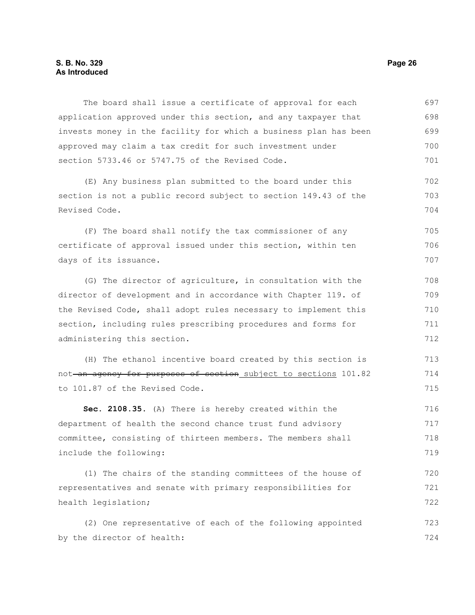The board shall issue a certificate of approval for each application approved under this section, and any taxpayer that invests money in the facility for which a business plan has been approved may claim a tax credit for such investment under section 5733.46 or 5747.75 of the Revised Code. (E) Any business plan submitted to the board under this section is not a public record subject to section 149.43 of the Revised Code. (F) The board shall notify the tax commissioner of any certificate of approval issued under this section, within ten days of its issuance. (G) The director of agriculture, in consultation with the director of development and in accordance with Chapter 119. of the Revised Code, shall adopt rules necessary to implement this section, including rules prescribing procedures and forms for administering this section. (H) The ethanol incentive board created by this section is not an agency for purposes of section subject to sections 101.82 to 101.87 of the Revised Code. **Sec. 2108.35.** (A) There is hereby created within the department of health the second chance trust fund advisory committee, consisting of thirteen members. The members shall include the following: (1) The chairs of the standing committees of the house of representatives and senate with primary responsibilities for health legislation; (2) One representative of each of the following appointed by the director of health: 697 698 699 700 701 702 703 704 705 706 707 708 709 710 711 712 713 714 715 716 717 718 719 720 721 722 723 724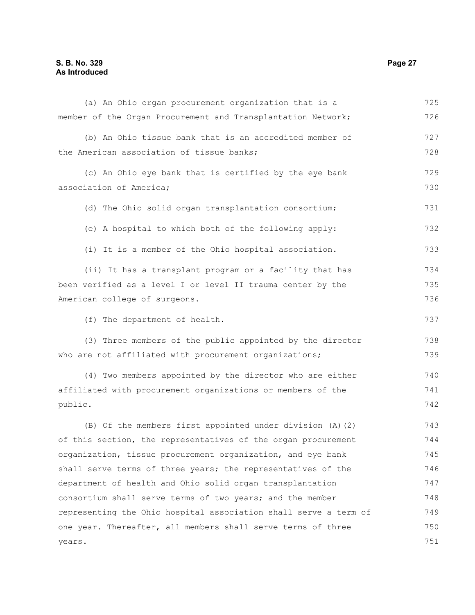### **S. B. No. 329 Page 27 As Introduced**

| (a) An Ohio organ procurement organization that is a             | 725 |
|------------------------------------------------------------------|-----|
| member of the Organ Procurement and Transplantation Network;     | 726 |
| (b) An Ohio tissue bank that is an accredited member of          | 727 |
| the American association of tissue banks;                        | 728 |
| (c) An Ohio eye bank that is certified by the eye bank           | 729 |
| association of America;                                          | 730 |
| (d) The Ohio solid organ transplantation consortium;             | 731 |
| (e) A hospital to which both of the following apply:             | 732 |
| (i) It is a member of the Ohio hospital association.             | 733 |
| (ii) It has a transplant program or a facility that has          | 734 |
| been verified as a level I or level II trauma center by the      | 735 |
| American college of surgeons.                                    | 736 |
| (f) The department of health.                                    | 737 |
| (3) Three members of the public appointed by the director        | 738 |
| who are not affiliated with procurement organizations;           | 739 |
| (4) Two members appointed by the director who are either         | 740 |
| affiliated with procurement organizations or members of the      | 741 |
| public.                                                          | 742 |
| (B) Of the members first appointed under division (A) (2)        | 743 |
| of this section, the representatives of the organ procurement    | 744 |
| organization, tissue procurement organization, and eye bank      | 745 |
| shall serve terms of three years; the representatives of the     | 746 |
| department of health and Ohio solid organ transplantation        | 747 |
| consortium shall serve terms of two years; and the member        | 748 |
| representing the Ohio hospital association shall serve a term of | 749 |
| one year. Thereafter, all members shall serve terms of three     | 750 |
| years.                                                           | 751 |
|                                                                  |     |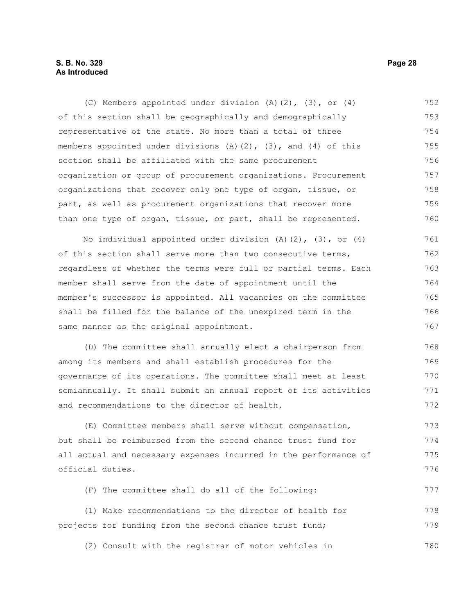#### **S. B. No. 329 Page 28 As Introduced**

(C) Members appointed under division (A)(2), (3), or (4) of this section shall be geographically and demographically representative of the state. No more than a total of three members appointed under divisions  $(A)$   $(2)$ ,  $(3)$ , and  $(4)$  of this section shall be affiliated with the same procurement organization or group of procurement organizations. Procurement organizations that recover only one type of organ, tissue, or part, as well as procurement organizations that recover more than one type of organ, tissue, or part, shall be represented. No individual appointed under division (A)(2), (3), or (4) 752 753 754 755 756 757 758 759 760 761

of this section shall serve more than two consecutive terms, regardless of whether the terms were full or partial terms. Each member shall serve from the date of appointment until the member's successor is appointed. All vacancies on the committee shall be filled for the balance of the unexpired term in the same manner as the original appointment. 762 763 764 765 766 767

(D) The committee shall annually elect a chairperson from among its members and shall establish procedures for the governance of its operations. The committee shall meet at least semiannually. It shall submit an annual report of its activities and recommendations to the director of health. 768 769 770 771 772

(E) Committee members shall serve without compensation, but shall be reimbursed from the second chance trust fund for all actual and necessary expenses incurred in the performance of official duties. 773 774 775 776

(F) The committee shall do all of the following:

(1) Make recommendations to the director of health for projects for funding from the second chance trust fund; 778 779

(2) Consult with the registrar of motor vehicles in 780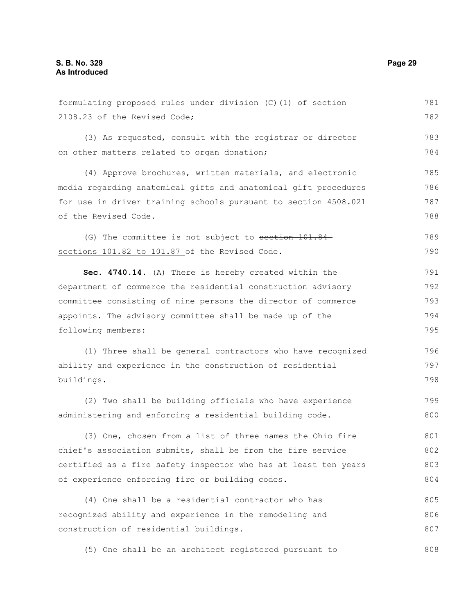formulating proposed rules under division (C)(1) of section 2108.23 of the Revised Code; (3) As requested, consult with the registrar or director on other matters related to organ donation; (4) Approve brochures, written materials, and electronic media regarding anatomical gifts and anatomical gift procedures for use in driver training schools pursuant to section 4508.021 of the Revised Code. (G) The committee is not subject to section 101.84sections 101.82 to 101.87 of the Revised Code. **Sec. 4740.14.** (A) There is hereby created within the department of commerce the residential construction advisory committee consisting of nine persons the director of commerce appoints. The advisory committee shall be made up of the following members: (1) Three shall be general contractors who have recognized ability and experience in the construction of residential buildings. (2) Two shall be building officials who have experience administering and enforcing a residential building code. (3) One, chosen from a list of three names the Ohio fire chief's association submits, shall be from the fire service certified as a fire safety inspector who has at least ten years of experience enforcing fire or building codes. (4) One shall be a residential contractor who has recognized ability and experience in the remodeling and construction of residential buildings. 781 782 783 784 785 786 787 788 789 790 791 792 793 794 795 796 797 798 799 800 801 802 803 804 805 806 807

(5) One shall be an architect registered pursuant to 808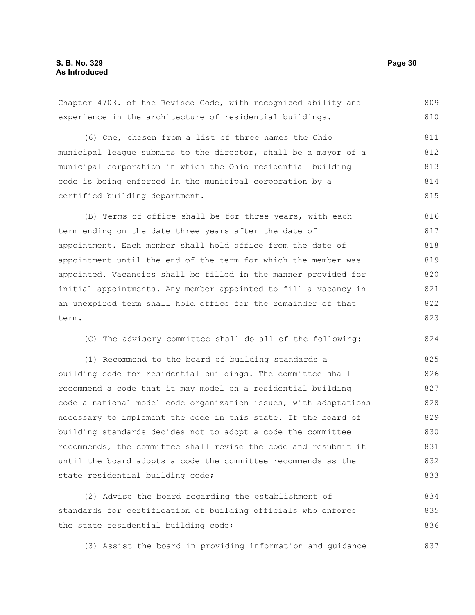Chapter 4703. of the Revised Code, with recognized ability and experience in the architecture of residential buildings. (6) One, chosen from a list of three names the Ohio municipal league submits to the director, shall be a mayor of a municipal corporation in which the Ohio residential building code is being enforced in the municipal corporation by a certified building department. (B) Terms of office shall be for three years, with each term ending on the date three years after the date of appointment. Each member shall hold office from the date of appointment until the end of the term for which the member was appointed. Vacancies shall be filled in the manner provided for initial appointments. Any member appointed to fill a vacancy in an unexpired term shall hold office for the remainder of that term. (C) The advisory committee shall do all of the following: (1) Recommend to the board of building standards a building code for residential buildings. The committee shall recommend a code that it may model on a residential building code a national model code organization issues, with adaptations necessary to implement the code in this state. If the board of building standards decides not to adopt a code the committee recommends, the committee shall revise the code and resubmit it until the board adopts a code the committee recommends as the state residential building code; (2) Advise the board regarding the establishment of standards for certification of building officials who enforce 809 810 811 812 813 814 815 816 817 818 819 820 821 822 823 824 825 826 827 828 829 830 831 832 833 834 835

(3) Assist the board in providing information and guidance 837

the state residential building code;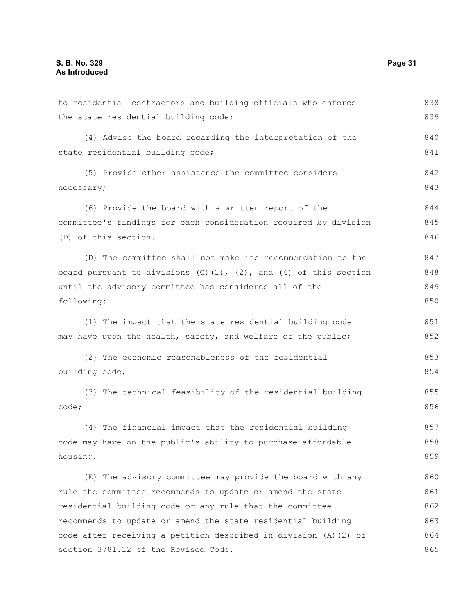to residential contractors and building officials who enforce the state residential building code; (4) Advise the board regarding the interpretation of the state residential building code; (5) Provide other assistance the committee considers necessary; (6) Provide the board with a written report of the committee's findings for each consideration required by division (D) of this section. (D) The committee shall not make its recommendation to the board pursuant to divisions  $(C)$   $(1)$ ,  $(2)$ , and  $(4)$  of this section until the advisory committee has considered all of the following: (1) The impact that the state residential building code may have upon the health, safety, and welfare of the public; (2) The economic reasonableness of the residential building code; (3) The technical feasibility of the residential building code; (4) The financial impact that the residential building code may have on the public's ability to purchase affordable housing. (E) The advisory committee may provide the board with any rule the committee recommends to update or amend the state residential building code or any rule that the committee recommends to update or amend the state residential building code after receiving a petition described in division (A)(2) of section 3781.12 of the Revised Code. 838 839 840 841 842 843 844 845 846 847 848 849 850 851 852 853 854 855 856 857 858 859 860 861 862 863 864 865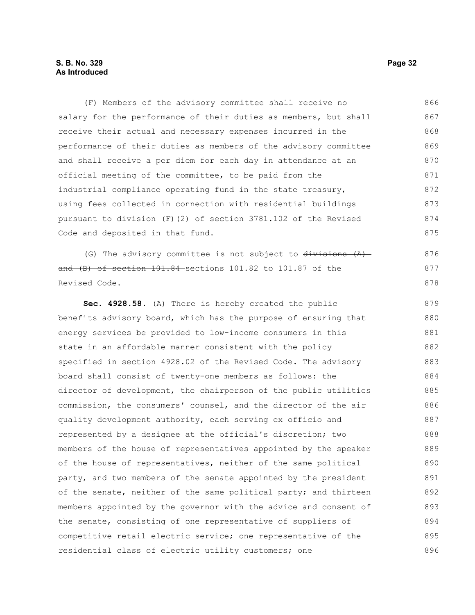#### **S. B. No. 329 Page 32 As Introduced**

(F) Members of the advisory committee shall receive no salary for the performance of their duties as members, but shall receive their actual and necessary expenses incurred in the performance of their duties as members of the advisory committee and shall receive a per diem for each day in attendance at an official meeting of the committee, to be paid from the industrial compliance operating fund in the state treasury, using fees collected in connection with residential buildings pursuant to division (F)(2) of section 3781.102 of the Revised Code and deposited in that fund. 866 867 868 869 870 871 872 873 874 875

(G) The advisory committee is not subject to  $\frac{divisions(A)}{A}$ and (B) of section 101.84 sections 101.82 to 101.87 of the Revised Code.

**Sec. 4928.58.** (A) There is hereby created the public benefits advisory board, which has the purpose of ensuring that energy services be provided to low-income consumers in this state in an affordable manner consistent with the policy specified in section 4928.02 of the Revised Code. The advisory board shall consist of twenty-one members as follows: the director of development, the chairperson of the public utilities commission, the consumers' counsel, and the director of the air quality development authority, each serving ex officio and represented by a designee at the official's discretion; two members of the house of representatives appointed by the speaker of the house of representatives, neither of the same political party, and two members of the senate appointed by the president of the senate, neither of the same political party; and thirteen members appointed by the governor with the advice and consent of the senate, consisting of one representative of suppliers of competitive retail electric service; one representative of the residential class of electric utility customers; one 879 880 881 882 883 884 885 886 887 888 889 890 891 892 893 894 895 896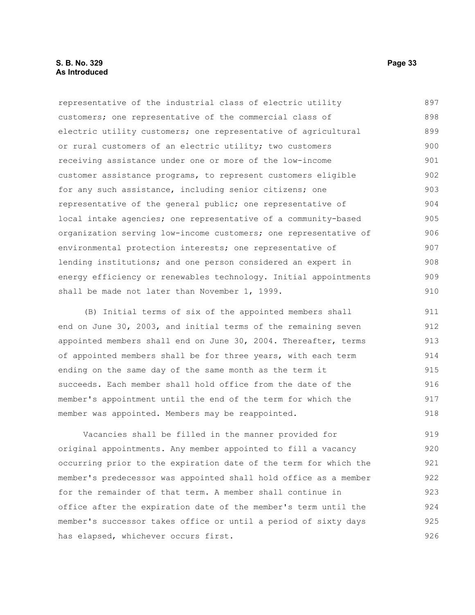representative of the industrial class of electric utility customers; one representative of the commercial class of electric utility customers; one representative of agricultural or rural customers of an electric utility; two customers receiving assistance under one or more of the low-income customer assistance programs, to represent customers eligible for any such assistance, including senior citizens; one representative of the general public; one representative of local intake agencies; one representative of a community-based organization serving low-income customers; one representative of environmental protection interests; one representative of lending institutions; and one person considered an expert in energy efficiency or renewables technology. Initial appointments shall be made not later than November 1, 1999. 897 898 899 900 901 902 903 904 905 906 907 908 909 910

(B) Initial terms of six of the appointed members shall end on June 30, 2003, and initial terms of the remaining seven appointed members shall end on June 30, 2004. Thereafter, terms of appointed members shall be for three years, with each term ending on the same day of the same month as the term it succeeds. Each member shall hold office from the date of the member's appointment until the end of the term for which the member was appointed. Members may be reappointed. 911 912 913 914 915 916 917 918

Vacancies shall be filled in the manner provided for original appointments. Any member appointed to fill a vacancy occurring prior to the expiration date of the term for which the member's predecessor was appointed shall hold office as a member for the remainder of that term. A member shall continue in office after the expiration date of the member's term until the member's successor takes office or until a period of sixty days has elapsed, whichever occurs first. 919 920 921 922 923 924 925 926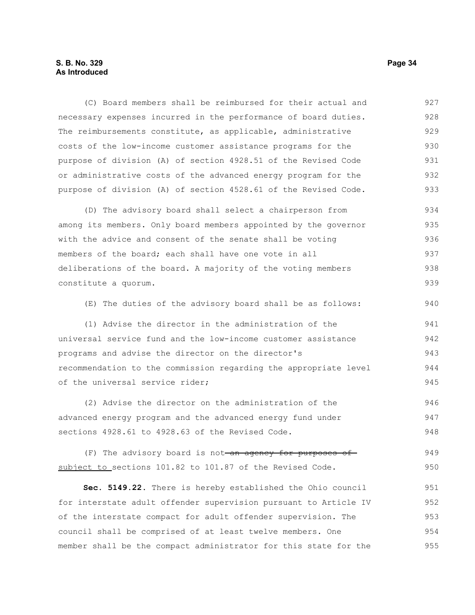#### **S. B. No. 329 Page 34 As Introduced**

(C) Board members shall be reimbursed for their actual and necessary expenses incurred in the performance of board duties. The reimbursements constitute, as applicable, administrative costs of the low-income customer assistance programs for the purpose of division (A) of section 4928.51 of the Revised Code or administrative costs of the advanced energy program for the purpose of division (A) of section 4528.61 of the Revised Code. 927 928 929 930 931 932 933

(D) The advisory board shall select a chairperson from among its members. Only board members appointed by the governor with the advice and consent of the senate shall be voting members of the board; each shall have one vote in all deliberations of the board. A majority of the voting members constitute a quorum. 934 935 936 937 938 939

(E) The duties of the advisory board shall be as follows: 940

(1) Advise the director in the administration of the universal service fund and the low-income customer assistance programs and advise the director on the director's recommendation to the commission regarding the appropriate level of the universal service rider; 941 942 943 944 945

(2) Advise the director on the administration of the advanced energy program and the advanced energy fund under sections 4928.61 to 4928.63 of the Revised Code. 946 947 948

(F) The advisory board is not an agency for purposes of subject to sections 101.82 to 101.87 of the Revised Code. 949 950

**Sec. 5149.22.** There is hereby established the Ohio council for interstate adult offender supervision pursuant to Article IV of the interstate compact for adult offender supervision. The council shall be comprised of at least twelve members. One member shall be the compact administrator for this state for the 951 952 953 954 955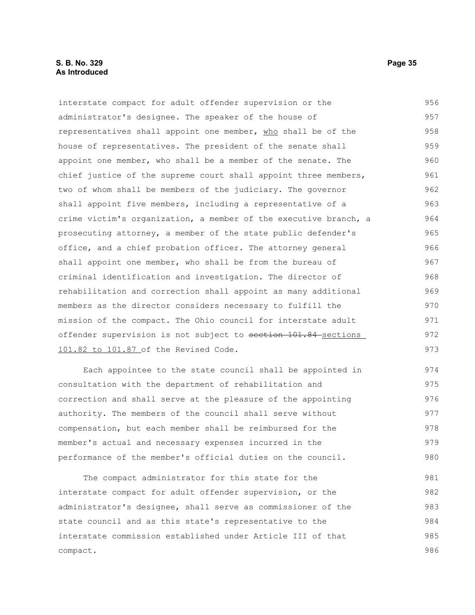#### **S. B. No. 329 Page 35 As Introduced**

interstate compact for adult offender supervision or the administrator's designee. The speaker of the house of representatives shall appoint one member, who shall be of the house of representatives. The president of the senate shall appoint one member, who shall be a member of the senate. The chief justice of the supreme court shall appoint three members, two of whom shall be members of the judiciary. The governor shall appoint five members, including a representative of a crime victim's organization, a member of the executive branch, a prosecuting attorney, a member of the state public defender's office, and a chief probation officer. The attorney general shall appoint one member, who shall be from the bureau of criminal identification and investigation. The director of rehabilitation and correction shall appoint as many additional members as the director considers necessary to fulfill the mission of the compact. The Ohio council for interstate adult offender supervision is not subject to section 101.84 sections 101.82 to 101.87 of the Revised Code. 956 957 958 959 960 961 962 963 964 965 966 967 968 969 970 971 972 973

Each appointee to the state council shall be appointed in consultation with the department of rehabilitation and correction and shall serve at the pleasure of the appointing authority. The members of the council shall serve without compensation, but each member shall be reimbursed for the member's actual and necessary expenses incurred in the performance of the member's official duties on the council. 974 975 976 977 978 979 980

The compact administrator for this state for the interstate compact for adult offender supervision, or the administrator's designee, shall serve as commissioner of the state council and as this state's representative to the interstate commission established under Article III of that compact. 981 982 983 984 985 986